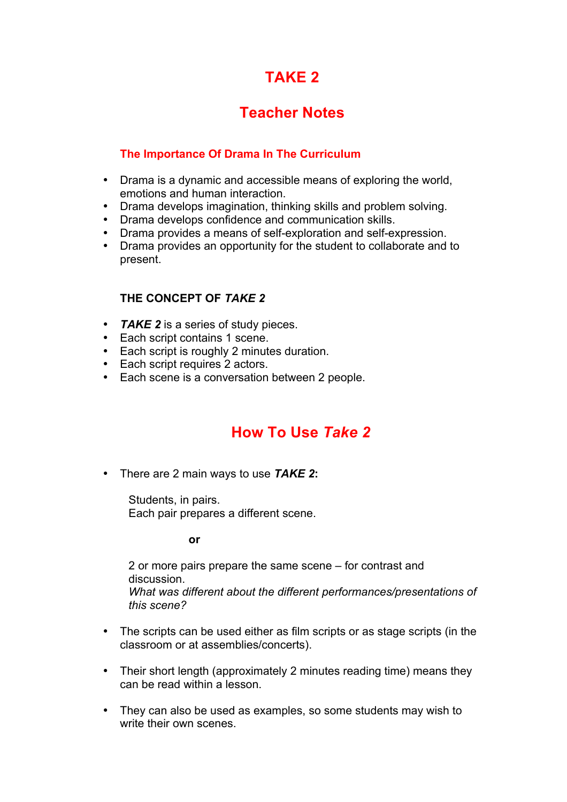# **TAKE 2**

# **Teacher Notes**

### **The Importance Of Drama In The Curriculum**

- Drama is a dynamic and accessible means of exploring the world, emotions and human interaction.
- Drama develops imagination, thinking skills and problem solving.
- Drama develops confidence and communication skills.
- Drama provides a means of self-exploration and self-expression.<br>• Drama provides an opportunity for the student to collaborate and
- Drama provides an opportunity for the student to collaborate and to present.

## **THE CONCEPT OF** *TAKE 2*

- *TAKE 2* is a series of study pieces.
- Each script contains 1 scene.
- Each script is roughly 2 minutes duration.
- Each script requires 2 actors.
- Each scene is a conversation between 2 people.

## **How To Use** *Take 2*

• There are 2 main ways to use *TAKE 2***:**

Students, in pairs. Each pair prepares a different scene.

**or**

2 or more pairs prepare the same scene – for contrast and discussion. *What was different about the different performances/presentations of this scene?* 

- The scripts can be used either as film scripts or as stage scripts (in the classroom or at assemblies/concerts).
- Their short length (approximately 2 minutes reading time) means they can be read within a lesson.
- They can also be used as examples, so some students may wish to write their own scenes.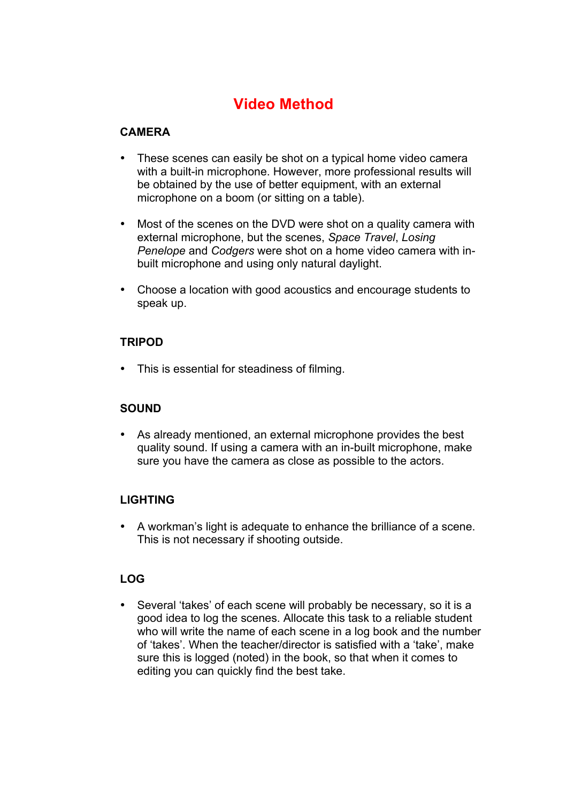# **Video Method**

## **CAMERA**

- These scenes can easily be shot on a typical home video camera with a built-in microphone. However, more professional results will be obtained by the use of better equipment, with an external microphone on a boom (or sitting on a table).
- Most of the scenes on the DVD were shot on a quality camera with external microphone, but the scenes, *Space Travel*, *Losing Penelope* and *Codgers* were shot on a home video camera with inbuilt microphone and using only natural daylight.
- Choose a location with good acoustics and encourage students to speak up.

### **TRIPOD**

• This is essential for steadiness of filming.

## **SOUND**

• As already mentioned, an external microphone provides the best quality sound. If using a camera with an in-built microphone, make sure you have the camera as close as possible to the actors.

## **LIGHTING**

• A workman's light is adequate to enhance the brilliance of a scene. This is not necessary if shooting outside.

### **LOG**

• Several 'takes' of each scene will probably be necessary, so it is a good idea to log the scenes. Allocate this task to a reliable student who will write the name of each scene in a log book and the number of 'takes'. When the teacher/director is satisfied with a 'take', make sure this is logged (noted) in the book, so that when it comes to editing you can quickly find the best take.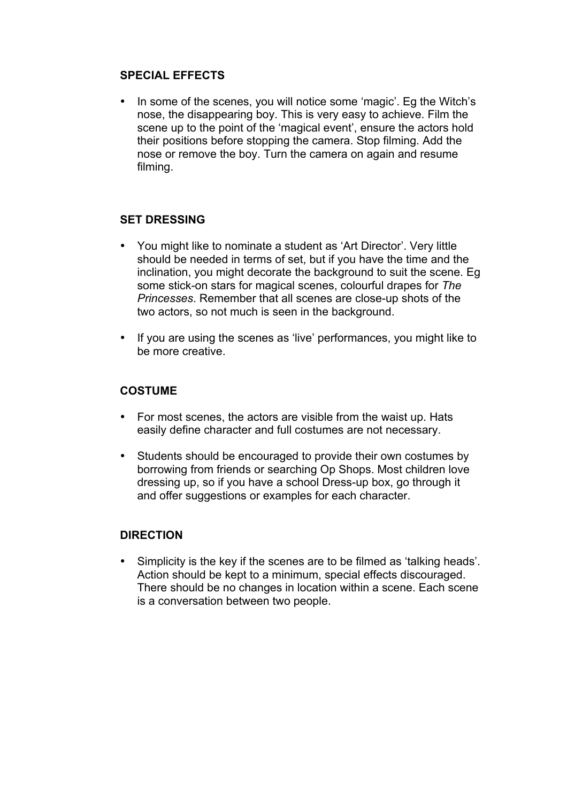#### **SPECIAL EFFECTS**

• In some of the scenes, you will notice some 'magic'. Eg the Witch's nose, the disappearing boy. This is very easy to achieve. Film the scene up to the point of the 'magical event', ensure the actors hold their positions before stopping the camera. Stop filming. Add the nose or remove the boy. Turn the camera on again and resume filming.

### **SET DRESSING**

- You might like to nominate a student as 'Art Director'. Very little should be needed in terms of set, but if you have the time and the inclination, you might decorate the background to suit the scene. Eg some stick-on stars for magical scenes, colourful drapes for *The Princesses*. Remember that all scenes are close-up shots of the two actors, so not much is seen in the background.
- If you are using the scenes as 'live' performances, you might like to be more creative.

#### **COSTUME**

- For most scenes, the actors are visible from the waist up. Hats easily define character and full costumes are not necessary.
- Students should be encouraged to provide their own costumes by borrowing from friends or searching Op Shops. Most children love dressing up, so if you have a school Dress-up box, go through it and offer suggestions or examples for each character.

#### **DIRECTION**

• Simplicity is the key if the scenes are to be filmed as 'talking heads'. Action should be kept to a minimum, special effects discouraged. There should be no changes in location within a scene. Each scene is a conversation between two people.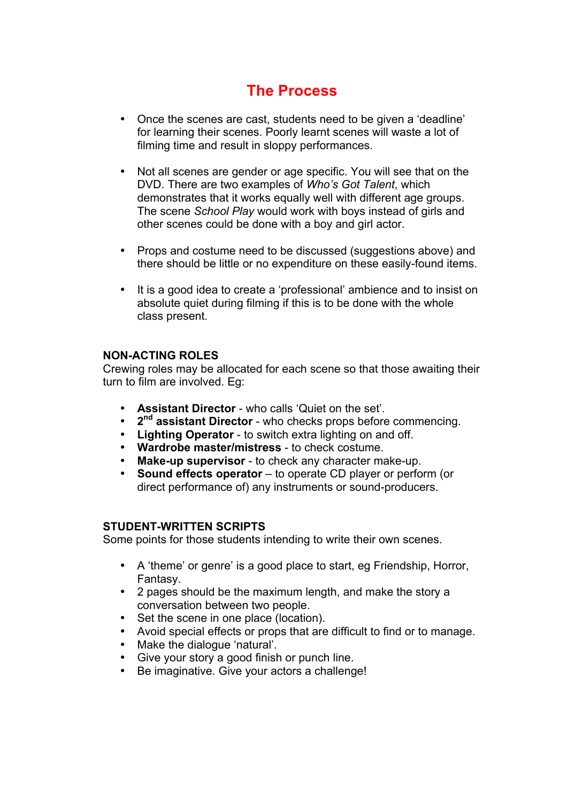# **The Process**

- Once the scenes are cast, students need to be given a 'deadline' for learning their scenes. Poorly learnt scenes will waste a lot of filming time and result in sloppy performances.
- Not all scenes are gender or age specific. You will see that on the DVD. There are two examples of *Who's Got Talent*, which demonstrates that it works equally well with different age groups. The scene *School Play* would work with boys instead of girls and other scenes could be done with a boy and girl actor.
- Props and costume need to be discussed (suggestions above) and there should be little or no expenditure on these easily-found items.
- It is a good idea to create a 'professional' ambience and to insist on absolute quiet during filming if this is to be done with the whole class present.

#### **NON-ACTING ROLES**

Crewing roles may be allocated for each scene so that those awaiting their turn to film are involved. Eg:

- **Assistant Director** who calls 'Quiet on the set'.
- **2<sup>nd</sup> assistant Director** who checks props before commencing.<br>• **Lighting Operator** to switch extra lighting on and off
- **Lighting Operator** to switch extra lighting on and off.
- **Wardrobe master/mistress** to check costume.
- **Make-up supervisor** to check any character make-up.<br>• **Sound effects operator** to operate CD player or perfo
- **Sound effects operator** to operate CD player or perform (or direct performance of) any instruments or sound-producers.

#### **STUDENT-WRITTEN SCRIPTS**

Some points for those students intending to write their own scenes.

- A 'theme' or genre' is a good place to start, eg Friendship, Horror, Fantasy.
- 2 pages should be the maximum length, and make the story a conversation between two people.
- Set the scene in one place (location).
- Avoid special effects or props that are difficult to find or to manage.
- Make the dialogue 'natural'.
- Give your story a good finish or punch line.
- Be imaginative. Give your actors a challenge!